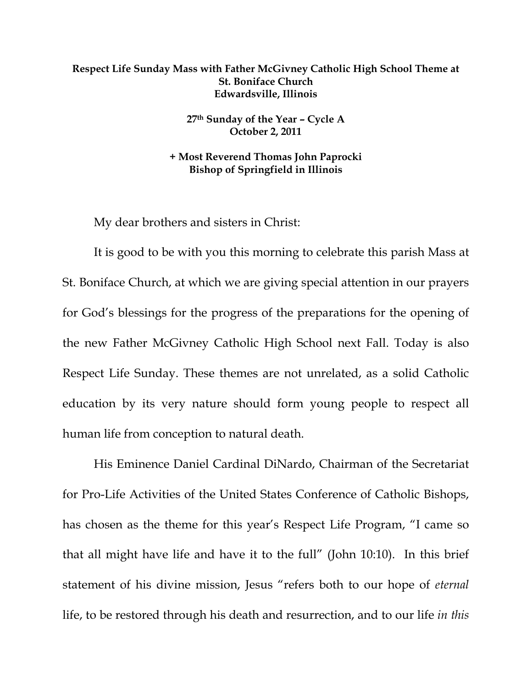## **Respect Life Sunday Mass with Father McGivney Catholic High School Theme at St. Boniface Church Edwardsville, Illinois**

**27th Sunday of the Year – Cycle A October 2, 2011** 

**+ Most Reverend Thomas John Paprocki Bishop of Springfield in Illinois**

My dear brothers and sisters in Christ:

 It is good to be with you this morning to celebrate this parish Mass at St. Boniface Church, at which we are giving special attention in our prayers for God's blessings for the progress of the preparations for the opening of the new Father McGivney Catholic High School next Fall. Today is also Respect Life Sunday. These themes are not unrelated, as a solid Catholic education by its very nature should form young people to respect all human life from conception to natural death.

His Eminence Daniel Cardinal DiNardo, Chairman of the Secretariat for Pro-Life Activities of the United States Conference of Catholic Bishops, has chosen as the theme for this year's Respect Life Program, "I came so that all might have life and have it to the full" (John 10:10). In this brief statement of his divine mission, Jesus "refers both to our hope of *eternal* life, to be restored through his death and resurrection, and to our life *in this*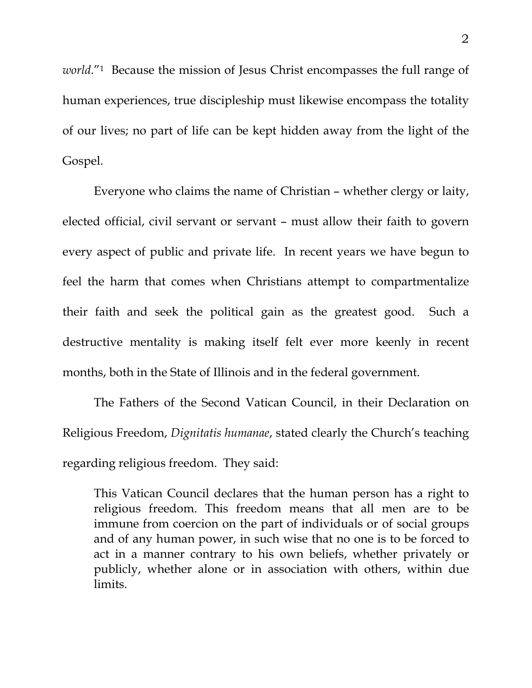*world*."1 Because the mission of Jesus Christ encompasses the full range of human experiences, true discipleship must likewise encompass the totality of our lives; no part of life can be kept hidden away from the light of the Gospel.

 Everyone who claims the name of Christian – whether clergy or laity, elected official, civil servant or servant – must allow their faith to govern every aspect of public and private life. In recent years we have begun to feel the harm that comes when Christians attempt to compartmentalize their faith and seek the political gain as the greatest good. Such a destructive mentality is making itself felt ever more keenly in recent months, both in the State of Illinois and in the federal government.

 The Fathers of the Second Vatican Council, in their Declaration on Religious Freedom, *Dignitatis humanae*, stated clearly the Church's teaching regarding religious freedom. They said:

This Vatican Council declares that the human person has a right to religious freedom. This freedom means that all men are to be immune from coercion on the part of individuals or of social groups and of any human power, in such wise that no one is to be forced to act in a manner contrary to his own beliefs, whether privately or publicly, whether alone or in association with others, within due limits.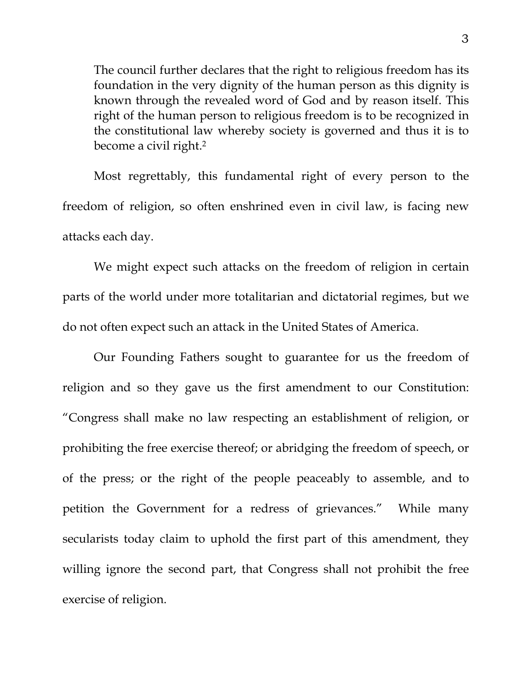The council further declares that the right to religious freedom has its foundation in the very dignity of the human person as this dignity is known through the revealed word of God and by reason itself. This right of the human person to religious freedom is to be recognized in the constitutional law whereby society is governed and thus it is to become a civil right.2

Most regrettably, this fundamental right of every person to the freedom of religion, so often enshrined even in civil law, is facing new attacks each day.

 We might expect such attacks on the freedom of religion in certain parts of the world under more totalitarian and dictatorial regimes, but we do not often expect such an attack in the United States of America.

 Our Founding Fathers sought to guarantee for us the freedom of religion and so they gave us the first amendment to our Constitution: "Congress shall make no law respecting an establishment of religion, or prohibiting the free exercise thereof; or abridging the freedom of speech, or of the press; or the right of the people peaceably to assemble, and to petition the Government for a redress of grievances." While many secularists today claim to uphold the first part of this amendment, they willing ignore the second part, that Congress shall not prohibit the free exercise of religion.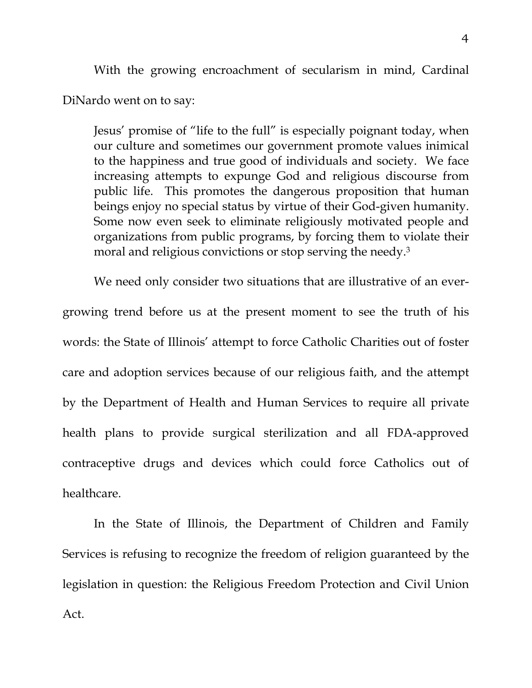With the growing encroachment of secularism in mind, Cardinal DiNardo went on to say:

Jesus' promise of "life to the full" is especially poignant today, when our culture and sometimes our government promote values inimical to the happiness and true good of individuals and society. We face increasing attempts to expunge God and religious discourse from public life. This promotes the dangerous proposition that human beings enjoy no special status by virtue of their God-given humanity. Some now even seek to eliminate religiously motivated people and organizations from public programs, by forcing them to violate their moral and religious convictions or stop serving the needy.<sup>3</sup>

We need only consider two situations that are illustrative of an evergrowing trend before us at the present moment to see the truth of his words: the State of Illinois' attempt to force Catholic Charities out of foster care and adoption services because of our religious faith, and the attempt by the Department of Health and Human Services to require all private health plans to provide surgical sterilization and all FDA-approved contraceptive drugs and devices which could force Catholics out of healthcare.

 In the State of Illinois, the Department of Children and Family Services is refusing to recognize the freedom of religion guaranteed by the legislation in question: the Religious Freedom Protection and Civil Union Act.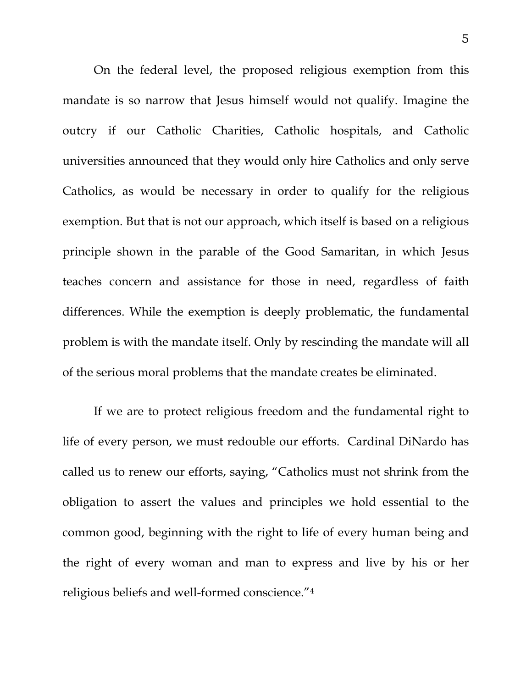On the federal level, the proposed religious exemption from this mandate is so narrow that Jesus himself would not qualify. Imagine the outcry if our Catholic Charities, Catholic hospitals, and Catholic universities announced that they would only hire Catholics and only serve Catholics, as would be necessary in order to qualify for the religious exemption. But that is not our approach, which itself is based on a religious principle shown in the parable of the Good Samaritan, in which Jesus teaches concern and assistance for those in need, regardless of faith differences. While the exemption is deeply problematic, the fundamental problem is with the mandate itself. Only by rescinding the mandate will all of the serious moral problems that the mandate creates be eliminated.

If we are to protect religious freedom and the fundamental right to life of every person, we must redouble our efforts. Cardinal DiNardo has called us to renew our efforts, saying, "Catholics must not shrink from the obligation to assert the values and principles we hold essential to the common good, beginning with the right to life of every human being and the right of every woman and man to express and live by his or her religious beliefs and well-formed conscience."4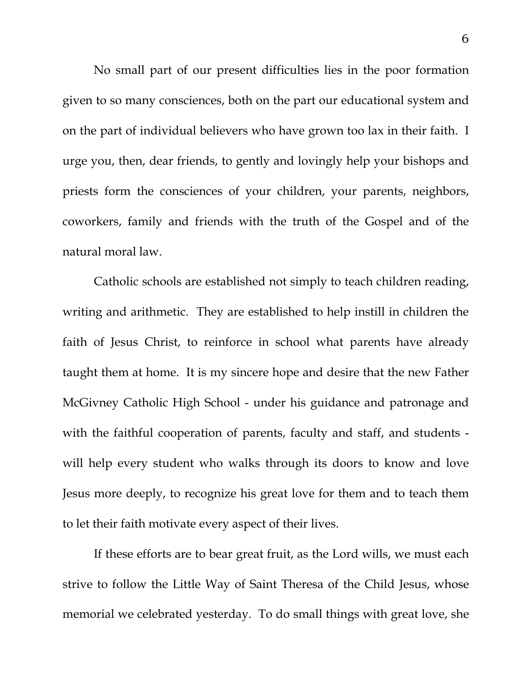No small part of our present difficulties lies in the poor formation given to so many consciences, both on the part our educational system and on the part of individual believers who have grown too lax in their faith. I urge you, then, dear friends, to gently and lovingly help your bishops and priests form the consciences of your children, your parents, neighbors, coworkers, family and friends with the truth of the Gospel and of the natural moral law.

 Catholic schools are established not simply to teach children reading, writing and arithmetic. They are established to help instill in children the faith of Jesus Christ, to reinforce in school what parents have already taught them at home. It is my sincere hope and desire that the new Father McGivney Catholic High School - under his guidance and patronage and with the faithful cooperation of parents, faculty and staff, and students will help every student who walks through its doors to know and love Jesus more deeply, to recognize his great love for them and to teach them to let their faith motivate every aspect of their lives.

 If these efforts are to bear great fruit, as the Lord wills, we must each strive to follow the Little Way of Saint Theresa of the Child Jesus, whose memorial we celebrated yesterday. To do small things with great love, she